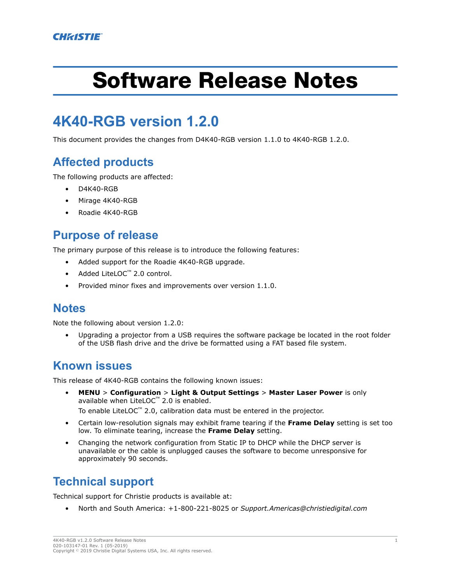# Software Release Notes

# **4K40-RGB version 1.2.0**

This document provides the changes from D4K40-RGB version 1.1.0 to 4K40-RGB 1.2.0.

## **Affected products**

The following products are affected:

- D4K40-RGB
- Mirage 4K40-RGB
- Roadie 4K40-RGB

#### **Purpose of release**

The primary purpose of this release is to introduce the following features:

- Added support for the Roadie 4K40-RGB upgrade.
- Added LiteLOC™ 2.0 control.
- Provided minor fixes and improvements over version 1.1.0.

#### **Notes**

Note the following about version 1.2.0:

• Upgrading a projector from a USB requires the software package be located in the root folder of the USB flash drive and the drive be formatted using a FAT based file system.

#### **Known issues**

This release of 4K40-RGB contains the following known issues:

• **MENU** > **Configuration** > **Light & Output Settings** > **Master Laser Power** is only available when LiteLOC™ 2.0 is enabled.

To enable LiteLOC™ 2.0, calibration data must be entered in the projector.

- Certain low-resolution signals may exhibit frame tearing if the **Frame Delay** setting is set too low. To eliminate tearing, increase the **Frame Delay** setting.
- Changing the network configuration from Static IP to DHCP while the DHCP server is unavailable or the cable is unplugged causes the software to become unresponsive for approximately 90 seconds.

### **Technical support**

Technical support for Christie products is available at:

• North and South America: +1-800-221-8025 or *[Support.Americas@christiedigital.com](mailto:Support.Americas@christiedigital.com)*